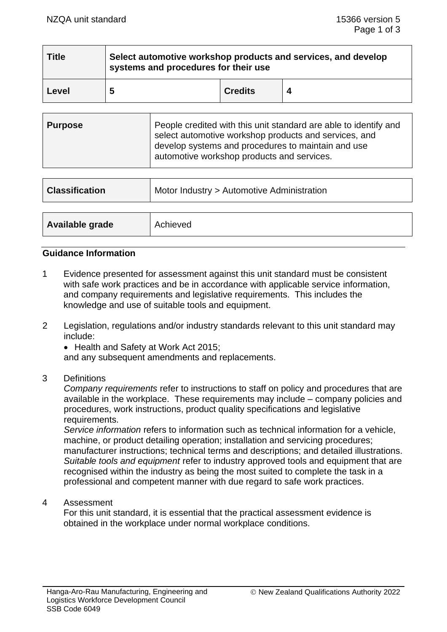| <b>Title</b> | Select automotive workshop products and services, and develop<br>systems and procedures for their use |                |  |  |
|--------------|-------------------------------------------------------------------------------------------------------|----------------|--|--|
| Level        | 5                                                                                                     | <b>Credits</b> |  |  |

| Purpose | People credited with this unit standard are able to identify and<br>select automotive workshop products and services, and<br>develop systems and procedures to maintain and use<br>automotive workshop products and services. |
|---------|-------------------------------------------------------------------------------------------------------------------------------------------------------------------------------------------------------------------------------|
|---------|-------------------------------------------------------------------------------------------------------------------------------------------------------------------------------------------------------------------------------|

| <b>Classification</b> | Motor Industry > Automotive Administration |  |
|-----------------------|--------------------------------------------|--|
|                       |                                            |  |
| Available grade       | Achieved                                   |  |

#### **Guidance Information**

- 1 Evidence presented for assessment against this unit standard must be consistent with safe work practices and be in accordance with applicable service information, and company requirements and legislative requirements. This includes the knowledge and use of suitable tools and equipment.
- 2 Legislation, regulations and/or industry standards relevant to this unit standard may include:
	- Health and Safety at Work Act 2015:

and any subsequent amendments and replacements.

3 Definitions

*Company requirements* refer to instructions to staff on policy and procedures that are available in the workplace. These requirements may include – company policies and procedures, work instructions, product quality specifications and legislative requirements.

*Service information* refers to information such as technical information for a vehicle, machine, or product detailing operation; installation and servicing procedures; manufacturer instructions; technical terms and descriptions; and detailed illustrations. *Suitable tools and equipment* refer to industry approved tools and equipment that are recognised within the industry as being the most suited to complete the task in a professional and competent manner with due regard to safe work practices.

4 Assessment

For this unit standard, it is essential that the practical assessment evidence is obtained in the workplace under normal workplace conditions.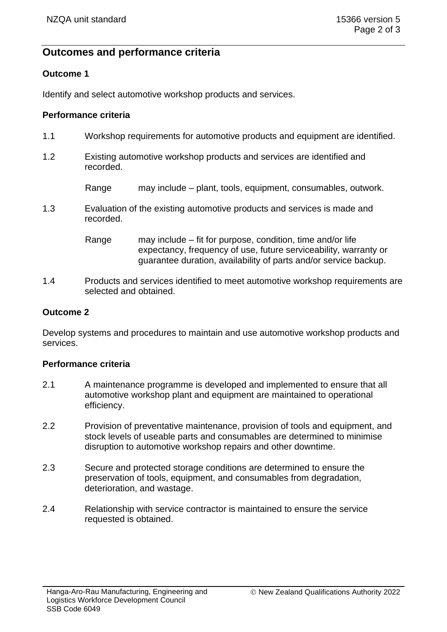# **Outcomes and performance criteria**

# **Outcome 1**

Identify and select automotive workshop products and services.

### **Performance criteria**

- 1.1 Workshop requirements for automotive products and equipment are identified.
- 1.2 Existing automotive workshop products and services are identified and recorded.

Range may include – plant, tools, equipment, consumables, outwork.

1.3 Evaluation of the existing automotive products and services is made and recorded.

> Range may include – fit for purpose, condition, time and/or life expectancy, frequency of use, future serviceability, warranty or guarantee duration, availability of parts and/or service backup.

1.4 Products and services identified to meet automotive workshop requirements are selected and obtained.

# **Outcome 2**

Develop systems and procedures to maintain and use automotive workshop products and services.

### **Performance criteria**

- 2.1 A maintenance programme is developed and implemented to ensure that all automotive workshop plant and equipment are maintained to operational efficiency.
- 2.2 Provision of preventative maintenance, provision of tools and equipment, and stock levels of useable parts and consumables are determined to minimise disruption to automotive workshop repairs and other downtime.
- 2.3 Secure and protected storage conditions are determined to ensure the preservation of tools, equipment, and consumables from degradation, deterioration, and wastage.
- 2.4 Relationship with service contractor is maintained to ensure the service requested is obtained.